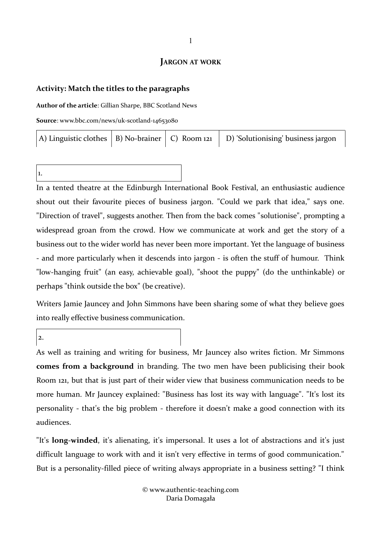## **JARGON AT WORK**

## **Activity: Match the titles to the paragraphs**

**Author of the article**: Gillian Sharpe, BBC Scotland News

Source: www.bbc.com/news/uk-scotland-14653080

1.

In a tented theatre at the Edinburgh International Book Festival, an enthusiastic audience shout out their favourite pieces of business jargon. "Could we park that idea," says one. "Direction of travel", suggests another. Then from the back comes "solutionise", prompting a widespread groan from the crowd. How we communicate at work and get the story of a business out to the wider world has never been more important. Yet the language of business - and more particularly when it descends into jargon - is often the stuff of humour. Think "low-hanging fruit" (an easy, achievable goal), "shoot the puppy" (do the unthinkable) or perhaps "think outside the box" (be creative).

Writers Jamie Jauncey and John Simmons have been sharing some of what they believe goes into really effective business communication.

2.

As well as training and writing for business, Mr Jauncey also writes fiction. Mr Simmons **comes from a background** in branding. The two men have been publicising their book Room 121, but that is just part of their wider view that business communication needs to be more human. Mr Jauncey explained: "Business has lost its way with language". "It's lost its personality - that's the big problem - therefore it doesn't make a good connection with its audiences.

"It's **long-winded**, it's alienating, it's impersonal. It uses a lot of abstractions and it's just difficult language to work with and it isn't very effective in terms of good communication." But is a personality-filled piece of writing always appropriate in a business setting? "I think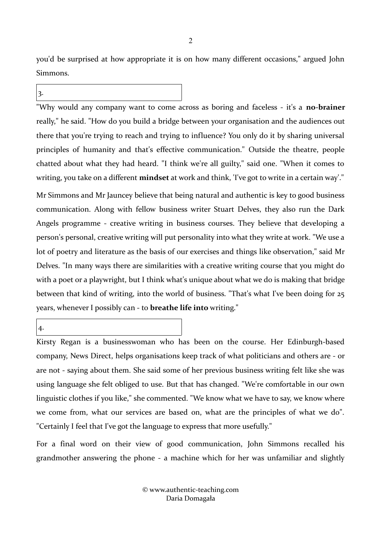you'd be surprised at how appropriate it is on how many different occasions," argued John Simmons.

3.

"Why would any company want to come across as boring and faceless - it's a **no-brainer** really," he said. "How do you build a bridge between your organisation and the audiences out there that you're trying to reach and trying to influence? You only do it by sharing universal principles of humanity and that's effective communication." Outside the theatre, people chatted about what they had heard. "I think we're all guilty," said one. "When it comes to writing, you take on a different **mindset** at work and think, 'I've got to write in a certain way'."

Mr Simmons and Mr Jauncey believe that being natural and authentic is key to good business communication. Along with fellow business writer Stuart Delves, they also run the Dark Angels programme - creative writing in business courses. They believe that developing a person's personal, creative writing will put personality into what they write at work. "We use a lot of poetry and literature as the basis of our exercises and things like observation," said Mr Delves. "In many ways there are similarities with a creative writing course that you might do with a poet or a playwright, but I think what's unique about what we do is making that bridge between that kind of writing, into the world of business. "That's what I've been doing for 25 years, whenever I possibly can - to **breathe life into** writing."

4.

Kirsty Regan is a businesswoman who has been on the course. Her Edinburgh-based company, News Direct, helps organisations keep track of what politicians and others are - or are not - saying about them. She said some of her previous business writing felt like she was using language she felt obliged to use. But that has changed. "We're comfortable in our own linguistic clothes if you like," she commented. "We know what we have to say, we know where we come from, what our services are based on, what are the principles of what we do". "Certainly I feel that I've got the language to express that more usefully."

For a final word on their view of good communication, John Simmons recalled his grandmother answering the phone - a machine which for her was unfamiliar and slightly